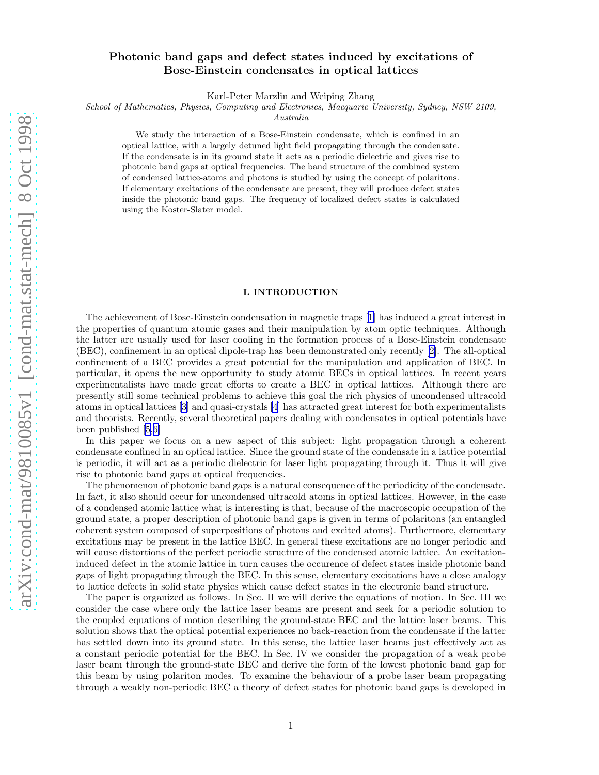# Photonic band gaps and defect states induced by excitations of Bose-Einstein condensates in optical lattices

Karl-Peter Marzlin and Weiping Zhang

School of Mathematics, Physics, Computing and Electronics, Macquarie University, Sydney, NSW 2109,

Australia

We study the interaction of a Bose-Einstein condensate, which is confined in an optical lattice, with a largely detuned light field propagating through the condensate. If the condensate is in its ground state it acts as a periodic dielectric and gives rise to photonic band gaps at optical frequencies. The band structure of the combined system of condensed lattice-atoms and photons is studied by using the concept of polaritons. If elementary excitations of the condensate are present, they will produce defect states inside the photonic band gaps. The frequency of localized defect states is calculated using the Koster-Slater model.

## I. INTRODUCTION

The achievement of Bose-Einstein condensation in magnetic traps[[1\]](#page-8-0) has induced a great interest in the properties of quantum atomic gases and their manipulation by atom optic techniques. Although the latter are usually used for laser cooling in the formation process of a Bose-Einstein condensate (BEC), confinement in an optical dipole-trap has been demonstrated only recently[[2\]](#page-8-0). The all-optical confinement of a BEC provides a great potential for the manipulation and application of BEC. In particular, it opens the new opportunity to study atomic BECs in optical lattices. In recent years experimentalists have made great efforts to create a BEC in optical lattices. Although there are presently still some technical problems to achieve this goal the rich physics of uncondensed ultracold atoms in optical lattices[[3\]](#page-8-0) and quasi-crystals[[4](#page-8-0)] has attracted great interest for both experimentalists and theorists. Recently, several theoretical papers dealing with condensates in optical potentials have been published[[5,6\]](#page-8-0)

In this paper we focus on a new aspect of this subject: light propagation through a coherent condensate confined in an optical lattice. Since the ground state of the condensate in a lattice potential is periodic, it will act as a periodic dielectric for laser light propagating through it. Thus it will give rise to photonic band gaps at optical frequencies.

The phenomenon of photonic band gaps is a natural consequence of the periodicity of the condensate. In fact, it also should occur for uncondensed ultracold atoms in optical lattices. However, in the case of a condensed atomic lattice what is interesting is that, because of the macroscopic occupation of the ground state, a proper description of photonic band gaps is given in terms of polaritons (an entangled coherent system composed of superpositions of photons and excited atoms). Furthermore, elementary excitations may be present in the lattice BEC. In general these excitations are no longer periodic and will cause distortions of the perfect periodic structure of the condensed atomic lattice. An excitationinduced defect in the atomic lattice in turn causes the occurence of defect states inside photonic band gaps of light propagating through the BEC. In this sense, elementary excitations have a close analogy to lattice defects in solid state physics which cause defect states in the electronic band structure.

The paper is organized as follows. In Sec. II we will derive the equations of motion. In Sec. III we consider the case where only the lattice laser beams are present and seek for a periodic solution to the coupled equations of motion describing the ground-state BEC and the lattice laser beams. This solution shows that the optical potential experiences no back-reaction from the condensate if the latter has settled down into its ground state. In this sense, the lattice laser beams just effectively act as a constant periodic potential for the BEC. In Sec. IV we consider the propagation of a weak probe laser beam through the ground-state BEC and derive the form of the lowest photonic band gap for this beam by using polariton modes. To examine the behaviour of a probe laser beam propagating through a weakly non-periodic BEC a theory of defect states for photonic band gaps is developed in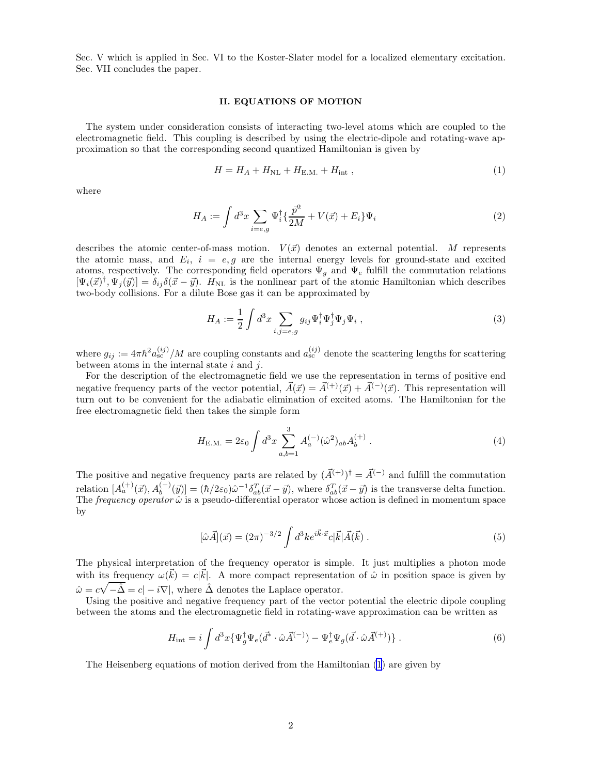Sec. V which is applied in Sec. VI to the Koster-Slater model for a localized elementary excitation. Sec. VII concludes the paper.

# II. EQUATIONS OF MOTION

The system under consideration consists of interacting two-level atoms which are coupled to the electromagnetic field. This coupling is described by using the electric-dipole and rotating-wave approximation so that the corresponding second quantized Hamiltonian is given by

$$
H = H_A + H_{\text{NL}} + H_{\text{E.M.}} + H_{\text{int}} \,,\tag{1}
$$

where

$$
H_A := \int d^3x \sum_{i=e,g} \Psi_i^{\dagger} \{ \frac{\bar{p}^2}{2M} + V(\vec{x}) + E_i \} \Psi_i
$$
 (2)

describes the atomic center-of-mass motion.  $V(\vec{x})$  denotes an external potential. M represents the atomic mass, and  $E_i$ ,  $i = e, g$  are the internal energy levels for ground-state and excited atoms, respectively. The corresponding field operators  $\Psi_q$  and  $\Psi_e$  fulfill the commutation relations  $[\Psi_i(\vec{x})^{\dagger}, \Psi_j(\vec{y})] = \delta_{ij}\delta(\vec{x} - \vec{y})$ .  $H_{\text{NL}}$  is the nonlinear part of the atomic Hamiltonian which describes two-body collisions. For a dilute Bose gas it can be approximated by

$$
H_A := \frac{1}{2} \int d^3x \sum_{i,j=e,g} g_{ij} \Psi_i^{\dagger} \Psi_j^{\dagger} \Psi_j \Psi_i , \qquad (3)
$$

where  $g_{ij} := 4\pi\hbar^2 a_{\rm sc}^{(ij)}/M$  are coupling constants and  $a_{\rm sc}^{(ij)}$  denote the scattering lengths for scattering between atoms in the internal state  $i$  and  $j$ .

For the description of the electromagnetic field we use the representation in terms of positive end negative frequency parts of the vector potential,  $\vec{A}(\vec{x}) = \vec{A}^{(+)}(\vec{x}) + \vec{A}^{(-)}(\vec{x})$ . This representation will turn out to be convenient for the adiabatic elimination of excited atoms. The Hamiltonian for the free electromagnetic field then takes the simple form

$$
H_{\text{E.M.}} = 2\varepsilon_0 \int d^3x \sum_{a,b=1}^3 A_a^{(-)}(\hat{\omega}^2)_{ab} A_b^{(+)} \,. \tag{4}
$$

The positive and negative frequency parts are related by  $(\vec{A}^{(+)})^{\dagger} = \vec{A}^{(-)}$  and fulfill the commutation relation  $[A_a^{(+)}(\vec{x}), A_b^{(-)}(\vec{y})] = (\hbar/2\varepsilon_0)\hat{\omega}^{-1}\delta_{ab}^T(\vec{x}-\vec{y}),$  where  $\delta_{ab}^T(\vec{x}-\vec{y})$  is the transverse delta function. The *frequency operator*  $\hat{\omega}$  is a pseudo-differential operator whose action is defined in momentum space by

$$
[\hat{\omega}\vec{A}](\vec{x}) = (2\pi)^{-3/2} \int d^3k e^{i\vec{k}\cdot\vec{x}} c|\vec{k}|\vec{A}(\vec{k}) . \qquad (5)
$$

The physical interpretation of the frequency operator is simple. It just multiplies a photon mode with its frequency  $\omega(\vec{k}) = c|\vec{k}|$ . A more compact representation of  $\hat{\omega}$  in position space is given by  $\hat{\omega} = c\sqrt{-\hat{\Delta}} = c|-i\nabla|$ , where  $\hat{\Delta}$  denotes the Laplace operator.

Using the positive and negative frequency part of the vector potential the electric dipole coupling between the atoms and the electromagnetic field in rotating-wave approximation can be written as

$$
H_{\rm int} = i \int d^3x \{ \Psi_g^{\dagger} \Psi_e(\vec{d}^* \cdot \hat{\omega} \vec{A}^{(-)}) - \Psi_e^{\dagger} \Psi_g(\vec{d} \cdot \hat{\omega} \vec{A}^{(+)}) \} . \tag{6}
$$

The Heisenberg equations of motion derived from the Hamiltonian (1) are given by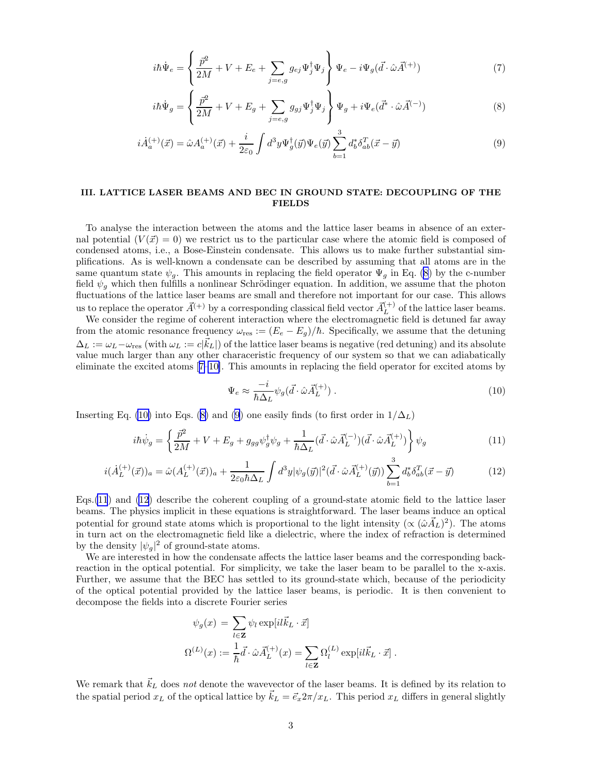<span id="page-2-0"></span>
$$
i\hbar \dot{\Psi}_e = \left\{ \frac{\bar{p}^2}{2M} + V + E_e + \sum_{j=e,g} g_{ej} \Psi_j^{\dagger} \Psi_j \right\} \Psi_e - i\Psi_g (\vec{d} \cdot \hat{\omega} \vec{A}^{(+)})
$$
(7)

$$
i\hbar \dot{\Psi}_g = \left\{ \frac{\bar{p}^2}{2M} + V + E_g + \sum_{j=e,g} g_{gj} \Psi_j^{\dagger} \Psi_j \right\} \Psi_g + i \Psi_e (\vec{d}^* \cdot \hat{\omega} \vec{A}^{(-)})
$$
(8)

$$
i\dot{A}_a^{(+)}(\vec{x}) = \hat{\omega}A_a^{(+)}(\vec{x}) + \frac{i}{2\varepsilon_0} \int d^3y \Psi_g^{\dagger}(\vec{y}) \Psi_e(\vec{y}) \sum_{b=1}^3 d_b^* \delta_{ab}^T(\vec{x} - \vec{y}) \tag{9}
$$

# III. LATTICE LASER BEAMS AND BEC IN GROUND STATE: DECOUPLING OF THE **FIELDS**

To analyse the interaction between the atoms and the lattice laser beams in absence of an external potential  $(V(\vec{x}) = 0)$  we restrict us to the particular case where the atomic field is composed of condensed atoms, i.e., a Bose-Einstein condensate. This allows us to make further substantial simplifications. As is well-known a condensate can be described by assuming that all atoms are in the same quantum state  $\psi_g$ . This amounts in replacing the field operator  $\Psi_g$  in Eq. (8) by the c-number field  $\psi_g$  which then fulfills a nonlinear Schrödinger equation. In addition, we assume that the photon fluctuations of the lattice laser beams are small and therefore not important for our case. This allows us to replace the operator  $\vec{A}^{(+)}$  by a corresponding classical field vector  $\vec{A}^{(+)}_L$  $L^{(+)}$  of the lattice laser beams.

We consider the regime of coherent interaction where the electromagnetic field is detuned far away from the atomic resonance frequency  $\omega_{\text{res}} := (E_e - E_g)/\hbar$ . Specifically, we assume that the detuning  $\Delta_L := \omega_L - \omega_{\text{res}}$  (with  $\omega_L := c|\vec{k}_L|$ ) of the lattice laser beams is negative (red detuning) and its absolute value much larger than any other characeristic frequency of our system so that we can adiabatically eliminate the excited atoms[[7–10\]](#page-8-0). This amounts in replacing the field operator for excited atoms by

$$
\Psi_e \approx \frac{-i}{\hbar \Delta_L} \psi_g(\vec{d} \cdot \hat{\omega} \vec{A}_L^{(+)}) \,. \tag{10}
$$

Inserting Eq. (10) into Eqs. (8) and (9) one easily finds (to first order in  $1/\Delta_L$ )

$$
i\hbar \dot{\psi}_g = \left\{ \frac{\vec{p}^2}{2M} + V + E_g + g_{gg} \psi_g^{\dagger} \psi_g + \frac{1}{\hbar \Delta_L} (\vec{d} \cdot \hat{\omega} \vec{A}_L^{(-)}) (\vec{d} \cdot \hat{\omega} \vec{A}_L^{(+)}) \right\} \psi_g \tag{11}
$$

$$
i(\dot{A}_L^{(+)}(\vec{x}))_a = \hat{\omega}(A_L^{(+)}(\vec{x}))_a + \frac{1}{2\varepsilon_0\hbar\Delta_L} \int d^3y |\psi_g(\vec{y})|^2 (\vec{d}\cdot\hat{\omega}\vec{A}_L^{(+)}(\vec{y})) \sum_{b=1}^3 d_b^* \delta_{ab}^T (\vec{x} - \vec{y})
$$
(12)

Eqs.(11) and (12) describe the coherent coupling of a ground-state atomic field to the lattice laser beams. The physics implicit in these equations is straightforward. The laser beams induce an optical potential for ground state atoms which is proportional to the light intensity ( $\propto (\hat{\omega} \vec{A}_L)^2$ ). The atoms in turn act on the electromagnetic field like a dielectric, where the index of refraction is determined by the density  $|\psi_g|^2$  of ground-state atoms.

We are interested in how the condensate affects the lattice laser beams and the corresponding backreaction in the optical potential. For simplicity, we take the laser beam to be parallel to the x-axis. Further, we assume that the BEC has settled to its ground-state which, because of the periodicity of the optical potential provided by the lattice laser beams, is periodic. It is then convenient to decompose the fields into a discrete Fourier series

$$
\psi_g(x) = \sum_{l \in \mathbf{Z}} \psi_l \exp[i l \vec{k}_L \cdot \vec{x}]
$$
  

$$
\Omega^{(L)}(x) := \frac{1}{\hbar} \vec{d} \cdot \hat{\omega} \vec{A}_L^{(+)}(x) = \sum_{l \in \mathbf{Z}} \Omega_l^{(L)} \exp[i l \vec{k}_L \cdot \vec{x}].
$$

We remark that  $\vec{k}_L$  does not denote the wavevector of the laser beams. It is defined by its relation to the spatial period  $x_L$  of the optical lattice by  $\vec{k}_L = \vec{e}_x 2\pi/x_L$ . This period  $x_L$  differs in general slightly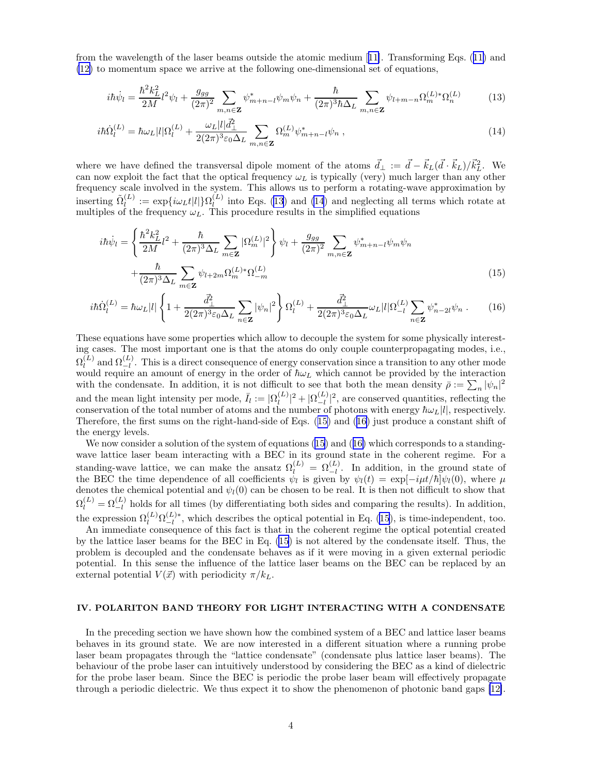from the wavelength of the laser beams outside the atomic medium[[11\]](#page-8-0). Transforming Eqs.([11\)](#page-2-0) and [\(12\)](#page-2-0) to momentum space we arrive at the following one-dimensional set of equations,

$$
i\hbar\dot{\psi}_l = \frac{\hbar^2 k_L^2}{2M} l^2 \psi_l + \frac{g_{gg}}{(2\pi)^2} \sum_{m,n \in \mathbf{Z}} \psi_{m+n-l}^* \psi_m \psi_n + \frac{\hbar}{(2\pi)^3 \hbar \Delta_L} \sum_{m,n \in \mathbf{Z}} \psi_{l+m-n} \Omega_m^{(L)*} \Omega_n^{(L)} \tag{13}
$$

$$
i\hbar\dot{\Omega}_{l}^{(L)} = \hbar\omega_{L}|l|\Omega_{l}^{(L)} + \frac{\omega_{L}|l|\bar{d}_{\perp}^{2}}{2(2\pi)^{3}\varepsilon_{0}\Delta_{L}}\sum_{m,n\in\mathbf{Z}}\Omega_{m}^{(L)}\psi_{m+n-l}^{*}\psi_{n},\tag{14}
$$

where we have defined the transversal dipole moment of the atoms  $\vec{d}_{\perp} := \vec{d} - \vec{k}_L(\vec{d} \cdot \vec{k}_L)/\vec{k}_L^2$ . We can now exploit the fact that the optical frequency  $\omega_L$  is typically (very) much larger than any other frequency scale involved in the system. This allows us to perform a rotating-wave approximation by inserting  $\tilde{\Omega}_l^{(L)}$  $\Omega_l^{(L)} := \exp\{i\omega_L t |l|\} \Omega_l^{(L)}$  $\binom{L}{l}$ into Eqs. ([13](#page-2-0)) and [\(14](#page-2-0)) and neglecting all terms which rotate at multiples of the frequency  $\omega_L$ . This procedure results in the simplified equations

$$
i\hbar \dot{\psi}_l = \left\{ \frac{\hbar^2 k_L^2}{2M} l^2 + \frac{\hbar}{(2\pi)^3 \Delta_L} \sum_{m \in \mathbf{Z}} |\Omega_m^{(L)}|^2 \right\} \psi_l + \frac{g_{gg}}{(2\pi)^2} \sum_{m,n \in \mathbf{Z}} \psi_{m+n-l}^* \psi_m \psi_n + \frac{\hbar}{(2\pi)^3 \Delta_L} \sum_{m \in \mathbf{Z}} \psi_{l+2m} \Omega_m^{(L)*} \Omega_{-m}^{(L)} \tag{15}
$$

$$
i\hbar \dot{\Omega}_{l}^{(L)} = \hbar \omega_{L} |l| \left\{ 1 + \frac{\bar{d}_{\perp}^{2}}{2(2\pi)^{3}\varepsilon_{0}\Delta_{L}} \sum_{n\in\mathbf{Z}} |\psi_{n}|^{2} \right\} \Omega_{l}^{(L)} + \frac{\bar{d}_{\perp}^{2}}{2(2\pi)^{3}\varepsilon_{0}\Delta_{L}} \omega_{L} |l| \Omega_{-l}^{(L)} \sum_{n\in\mathbf{Z}} \psi_{n-2l}^{*} \psi_{n}.
$$
 (16)

These equations have some properties which allow to decouple the system for some physically interesting cases. The most important one is that the atoms do only couple counterpropagating modes, i.e.,  $\Omega_l^{(L)}$  $\Omega_l^{(L)}$  and  $\Omega_{-l}^{(L)}$ . This is a direct consequence of energy conservation since a transition to any other mode would require an amount of energy in the order of  $\hbar\omega_L$  which cannot be provided by the interaction with the condensate. In addition, it is not difficult to see that both the mean density  $\bar{\rho} := \sum_n |\psi_n|^2$ and the mean light intensity per mode,  $\bar{I}_l := | \Omega_l^{(L)} |$  $\frac{(L)}{l}|^2 + \frac{|\Omega_{-l}^{(L)}|}{|}$  $\binom{L}{-l}$ , are conserved quantities, reflecting the conservation of the total number of atoms and the number of photons with energy  $\hbar\omega_L|l|$ , respectively. Therefore, the first sums on the right-hand-side of Eqs. (15) and (16) just produce a constant shift of the energy levels.

We now consider a solution of the system of equations (15) and (16) which corresponds to a standingwave lattice laser beam interacting with a BEC in its ground state in the coherent regime. For a standing-wave lattice, we can make the ansatz  $\Omega_l^{(L)} = \Omega_{-l}^{(L)}$ . In addition, in the ground state of the BEC the time dependence of all coefficients  $\psi_l$  is given by  $\psi_l(t) = \exp[-i\mu t/\hbar]\psi_l(0)$ , where  $\mu$ denotes the chemical potential and  $\psi_l(0)$  can be chosen to be real. It is then not difficult to show that  $\Omega_l^{(L)} = \Omega_{-l}^{(L)}$  holds for all times (by differentiating both sides and comparing the results). In addition, the expression  $\Omega_l^{(L)} \Omega_{-l}^{(L)*}$ 

 $\frac{L}{L}$ , which describes the optical potential in Eq. (15), is time-independent, too. An immediate consequence of this fact is that in the coherent regime the optical potential created by the lattice laser beams for the BEC in Eq. (15) is not altered by the condensate itself. Thus, the problem is decoupled and the condensate behaves as if it were moving in a given external periodic potential. In this sense the influence of the lattice laser beams on the BEC can be replaced by an external potential  $V(\vec{x})$  with periodicity  $\pi/k_L$ .

#### IV. POLARITON BAND THEORY FOR LIGHT INTERACTING WITH A CONDENSATE

In the preceding section we have shown how the combined system of a BEC and lattice laser beams behaves in its ground state. We are now interested in a different situation where a running probe laser beam propagates through the "lattice condensate" (condensate plus lattice laser beams). The behaviour of the probe laser can intuitively understood by considering the BEC as a kind of dielectric for the probe laser beam. Since the BEC is periodic the probe laser beam will effectively propagate through a periodic dielectric. We thus expect it to show the phenomenon of photonic band gaps [\[12\]](#page-8-0).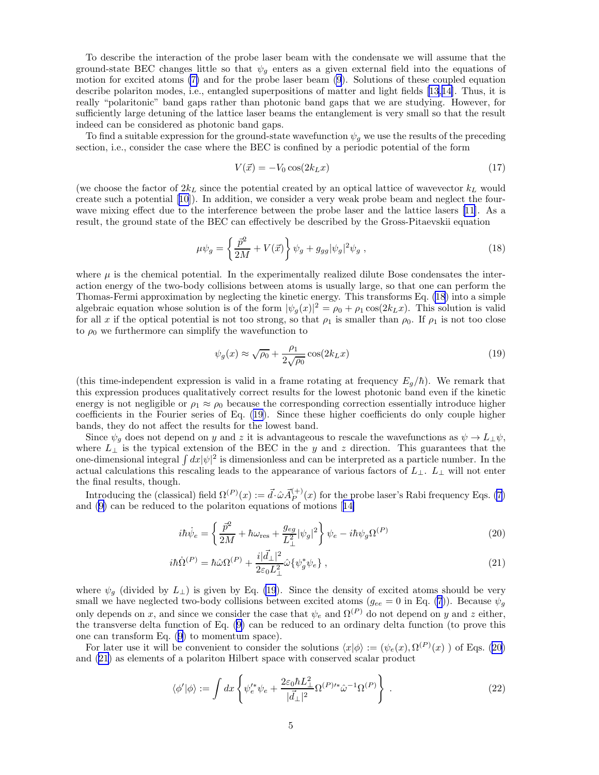<span id="page-4-0"></span>To describe the interaction of the probe laser beam with the condensate we will assume that the ground-state BEC changes little so that  $\psi_q$  enters as a given external field into the equations of motion for excited atoms [\(7\)](#page-2-0) and for the probe laser beam [\(9](#page-2-0)). Solutions of these coupled equation describe polariton modes, i.e., entangled superpositions of matter and light fields[[13,14\]](#page-8-0). Thus, it is really "polaritonic" band gaps rather than photonic band gaps that we are studying. However, for sufficiently large detuning of the lattice laser beams the entanglement is very small so that the result indeed can be considered as photonic band gaps.

To find a suitable expression for the ground-state wavefunction  $\psi_g$  we use the results of the preceding section, i.e., consider the case where the BEC is confined by a periodic potential of the form

$$
V(\vec{x}) = -V_0 \cos(2k_L x) \tag{17}
$$

(we choose the factor of  $2k<sub>L</sub>$  since the potential created by an optical lattice of wavevector  $k<sub>L</sub>$  would create such a potential[[10](#page-8-0)]). In addition, we consider a very weak probe beam and neglect the fourwave mixing effect due to the interference between the probe laser and the lattice lasers [\[11](#page-8-0)]. As a result, the ground state of the BEC can effectively be described by the Gross-Pitaevskii equation

$$
\mu \psi_g = \left\{ \frac{\bar{p}^2}{2M} + V(\vec{x}) \right\} \psi_g + g_{gg} |\psi_g|^2 \psi_g , \qquad (18)
$$

where  $\mu$  is the chemical potential. In the experimentally realized dilute Bose condensates the interaction energy of the two-body collisions between atoms is usually large, so that one can perform the Thomas-Fermi approximation by neglecting the kinetic energy. This transforms Eq. (18) into a simple algebraic equation whose solution is of the form  $|\psi_g(x)|^2 = \rho_0 + \rho_1 \cos(2k_L x)$ . This solution is valid for all x if the optical potential is not too strong, so that  $\rho_1$  is smaller than  $\rho_0$ . If  $\rho_1$  is not too close to  $\rho_0$  we furthermore can simplify the wavefunction to

$$
\psi_g(x) \approx \sqrt{\rho_0} + \frac{\rho_1}{2\sqrt{\rho_0}} \cos(2k_L x) \tag{19}
$$

(this time-independent expression is valid in a frame rotating at frequency  $E_q/\hbar$ ). We remark that this expression produces qualitatively correct results for the lowest photonic band even if the kinetic energy is not negligible or  $\rho_1 \approx \rho_0$  because the corresponding correction essentially introduce higher coefficients in the Fourier series of Eq. (19). Since these higher coefficients do only couple higher bands, they do not affect the results for the lowest band.

Since  $\psi_q$  does not depend on y and z it is advantageous to rescale the wavefunctions as  $\psi \to L_{\perp} \psi$ , where  $L_{\perp}$  is the typical extension of the BEC in the y and z direction. This guarantees that the one-dimensional integral  $\int dx |\psi|^2$  is dimensionless and can be interpreted as a particle number. In the actual calculations this rescaling leads to the appearance of various factors of  $L_{\perp}$ .  $L_{\perp}$  will not enter the final results, though.

Introducing the (classical) field  $\Omega^{(P)}(x) := \vec{d} \cdot \hat{\omega} \vec{A}_{P}^{(+)}$  $P_P^{(+)}(x)$  for the probe laser's Rabi frequency Eqs. [\(7](#page-2-0)) and([9\)](#page-2-0) can be reduced to the polariton equations of motions[[14\]](#page-8-0)

$$
i\hbar\dot{\psi}_e = \left\{\frac{\vec{p}^2}{2M} + \hbar\omega_{\rm res} + \frac{g_{eg}}{L_\perp^2}|\psi_g|^2\right\}\psi_e - i\hbar\psi_g\Omega^{(P)}\tag{20}
$$

$$
i\hbar \dot{\Omega}^{(P)} = \hbar \hat{\omega} \Omega^{(P)} + \frac{i|\vec{d}_{\perp}|^2}{2\varepsilon_0 L_{\perp}^2} \hat{\omega} \{\psi_g^* \psi_e\},\tag{21}
$$

where  $\psi_g$  (divided by  $L_{\perp}$ ) is given by Eq. (19). Since the density of excited atoms should be very small we have neglected two-body collisions between excited atoms  $(g_{ee} = 0 \text{ in Eq. (7)})$  $(g_{ee} = 0 \text{ in Eq. (7)})$  $(g_{ee} = 0 \text{ in Eq. (7)})$ . Because  $\psi_g$ only depends on x, and since we consider the case that  $\psi_e$  and  $\Omega^{(P)}$  do not depend on y and z either, the transverse delta function of Eq.([9\)](#page-2-0) can be reduced to an ordinary delta function (to prove this one can transform Eq.([9\)](#page-2-0) to momentum space).

For later use it will be convenient to consider the solutions  $\langle x|\phi\rangle := (\psi_e(x), \Omega^{(P)}(x))$  of Eqs. (20) and (21) as elements of a polariton Hilbert space with conserved scalar product

$$
\langle \phi' | \phi \rangle := \int dx \left\{ \psi_e^{\prime *} \psi_e + \frac{2\varepsilon_0 \hbar L_\perp^2}{|\vec{d}_\perp|^2} \Omega^{(P)\prime *} \hat{\omega}^{-1} \Omega^{(P)} \right\} \,. \tag{22}
$$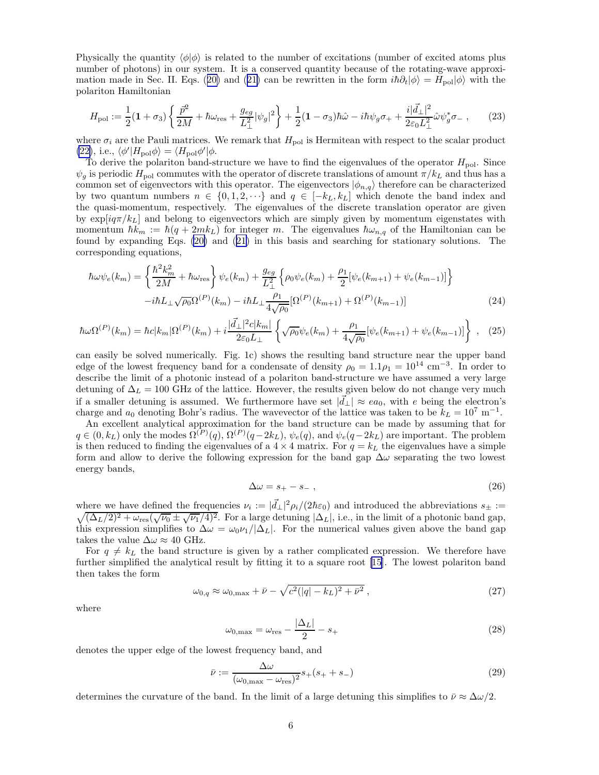<span id="page-5-0"></span>Physically the quantity  $\langle \phi | \phi \rangle$  is related to the number of excitations (number of excited atoms plus number of photons) in our system. It is a conserved quantity because of the rotating-wave approxi-mationmade in Sec. II. Eqs. ([20\)](#page-4-0) and ([21\)](#page-4-0) can be rewritten in the form  $i\hbar \partial_t |\phi\rangle = H_{\text{pol}} |\phi\rangle$  with the polariton Hamiltonian

$$
H_{\rm pol} := \frac{1}{2} (1 + \sigma_3) \left\{ \frac{\vec{p}^2}{2M} + \hbar \omega_{\rm res} + \frac{g_{eg}}{L_{\perp}^2} |\psi_g|^2 \right\} + \frac{1}{2} (1 - \sigma_3) \hbar \hat{\omega} - i \hbar \psi_g \sigma_+ + \frac{i |\vec{d}_{\perp}|^2}{2 \varepsilon_0 L_{\perp}^2} \hat{\omega} \psi_g^* \sigma_- , \qquad (23)
$$

where  $\sigma_i$  are the Pauli matrices. We remark that  $H_{\text{pol}}$  is Hermitean with respect to the scalar product [\(22\)](#page-4-0), i.e.,  $\langle \phi' | H_{\text{pol}} \phi \rangle = \langle H_{\text{pol}} \phi' | \phi$ .

To derive the polariton band-structure we have to find the eigenvalues of the operator  $H_{pol}$ . Since  $\psi_q$  is periodic  $H_{\text{pol}}$  commutes with the operator of discrete translations of amount  $\pi/k_L$  and thus has a common set of eigenvectors with this operator. The eigenvectors  $|\phi_{n,q}\rangle$  therefore can be characterized by two quantum numbers  $n \in \{0, 1, 2, \dots\}$  and  $q \in [-k_L, k_L]$  which denote the band index and the quasi-momentum, respectively. The eigenvalues of the discrete translation operator are given by  $\exp[iq\pi/k_L]$  and belong to eigenvectors which are simply given by momentum eigenstates with momentum  $\hbar k_m := \hbar (q + 2mk_L)$  for integer m. The eigenvalues  $\hbar \omega_{n,q}$  of the Hamiltonian can be found by expanding Eqs. [\(20\)](#page-4-0) and([21\)](#page-4-0) in this basis and searching for stationary solutions. The corresponding equations,

$$
\hbar\omega\psi_e(k_m) = \left\{ \frac{\hbar^2 k_m^2}{2M} + \hbar\omega_{\text{res}} \right\} \psi_e(k_m) + \frac{g_{eg}}{L_\perp^2} \left\{ \rho_0 \psi_e(k_m) + \frac{\rho_1}{2} [\psi_e(k_{m+1}) + \psi_e(k_{m-1})] \right\}
$$

$$
-i\hbar L_\perp \sqrt{\rho_0} \Omega^{(P)}(k_m) - i\hbar L_\perp \frac{\rho_1}{4\sqrt{\rho_0}} [\Omega^{(P)}(k_{m+1}) + \Omega^{(P)}(k_{m-1})] \tag{24}
$$

$$
\hbar\omega\Omega^{(P)}(k_m) = \hbar c|k_m|\Omega^{(P)}(k_m) + i\frac{|\vec{d}_{\perp}|^2 c|k_m|}{2\varepsilon_0 L_{\perp}} \left\{ \sqrt{\rho_0} \psi_e(k_m) + \frac{\rho_1}{4\sqrt{\rho_0}} [\psi_e(k_{m+1}) + \psi_e(k_{m-1})] \right\} , \quad (25)
$$

can easily be solved numerically. Fig. 1c) shows the resulting band structure near the upper band edge of the lowest frequency band for a condensate of density  $\rho_0 = 1.1 \rho_1 = 10^{14}$  cm<sup>-3</sup>. In order to describe the limit of a photonic instead of a polariton band-structure we have assumed a very large detuning of  $\Delta_L = 100$  GHz of the lattice. However, the results given below do not change very much if a smaller detuning is assumed. We furthermore have set  $|\vec{d}_{\perp}| \approx ea_0$ , with e being the electron's charge and  $a_0$  denoting Bohr's radius. The wavevector of the lattice was taken to be  $k_L = 10^7 \text{ m}^{-1}$ .

An excellent analytical approximation for the band structure can be made by assuming that for  $q \in (0, k_L)$  only the modes  $\Omega^{(P)}(q), \Omega^{(P)}(q-2k_L), \psi_e(q),$  and  $\psi_e(q-2k_L)$  are important. The problem is then reduced to finding the eigenvalues of a  $4 \times 4$  matrix. For  $q = k<sub>L</sub>$  the eigenvalues have a simple form and allow to derive the following expression for the band gap  $\Delta\omega$  separating the two lowest energy bands,

$$
\Delta \omega = s_+ - s_- \,, \tag{26}
$$

where we have defined the frequencies  $\nu_i := |\vec{d}_\perp|^2 \rho_i/(2\hbar \varepsilon_0)$  and introduced the abbreviations  $s_{\pm} :=$  $\sqrt{(\Delta_L/2)^2 + \omega_{\text{res}}(\sqrt{\nu_0} \pm \sqrt{\nu_1/4})^2}$ . For a large detuning  $|\Delta_L|$ , i.e., in the limit of a photonic band gap, this expression simplifies to  $\Delta \omega = \omega_0 \nu_1 / |\Delta_L|$ . For the numerical values given above the band gap takes the value  $\Delta\omega \approx 40$  GHz.

For  $q \neq k_L$  the band structure is given by a rather complicated expression. We therefore have further simplified the analytical result by fitting it to a square root [\[15](#page-8-0)]. The lowest polariton band then takes the form

$$
\omega_{0,q} \approx \omega_{0,\text{max}} + \bar{\nu} - \sqrt{c^2(|q| - k_L)^2 + \bar{\nu}^2} \,, \tag{27}
$$

where

$$
\omega_{0,\text{max}} = \omega_{\text{res}} - \frac{|\Delta_L|}{2} - s_+ \tag{28}
$$

denotes the upper edge of the lowest frequency band, and

$$
\bar{\nu} := \frac{\Delta\omega}{(\omega_{0,\text{max}} - \omega_{\text{res}})^2} s_+(s_+ + s_-)
$$
\n(29)

determines the curvature of the band. In the limit of a large detuning this simplifies to  $\bar{\nu} \approx \Delta \omega/2$ .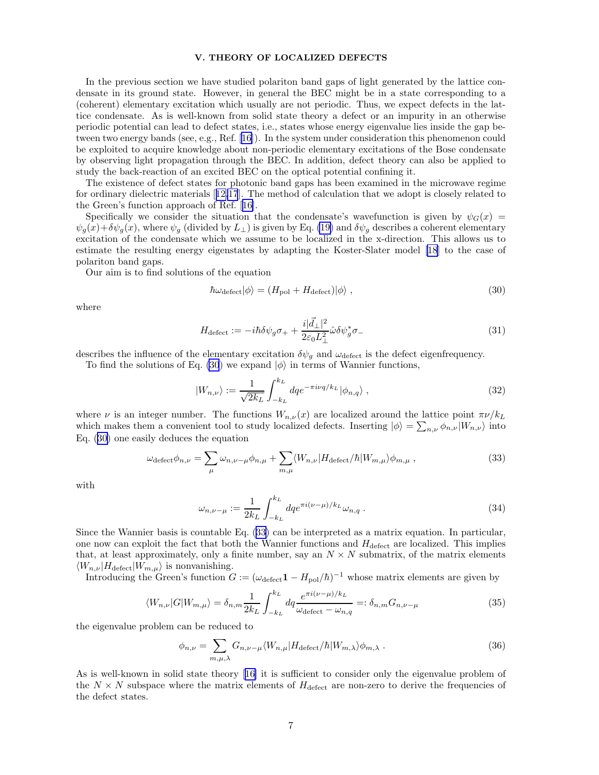## V. THEORY OF LOCALIZED DEFECTS

<span id="page-6-0"></span>In the previous section we have studied polariton band gaps of light generated by the lattice condensate in its ground state. However, in general the BEC might be in a state corresponding to a (coherent) elementary excitation which usually are not periodic. Thus, we expect defects in the lattice condensate. As is well-known from solid state theory a defect or an impurity in an otherwise periodic potential can lead to defect states, i.e., states whose energy eigenvalue lies inside the gap between two energy bands (see, e.g., Ref. [\[16](#page-8-0)]). In the system under consideration this phenomenon could be exploited to acquire knowledge about non-periodic elementary excitations of the Bose condensate by observing light propagation through the BEC. In addition, defect theory can also be applied to study the back-reaction of an excited BEC on the optical potential confining it.

The existence of defect states for photonic band gaps has been examined in the microwave regime for ordinary dielectric materials[[12,17](#page-8-0)]. The method of calculation that we adopt is closely related to the Green's function approach of Ref.[[16\]](#page-8-0).

Specifically we consider the situation that the condensate's wavefunction is given by  $\psi_G(x)$  $\psi_q(x)+\delta\psi_q(x)$ , where  $\psi_q$  (divided by  $L_{\perp}$ ) is given by Eq. [\(19\)](#page-4-0) and  $\delta\psi_q$  describes a coherent elementary excitation of the condensate which we assume to be localized in the x-direction. This allows us to estimate the resulting energy eigenstates by adapting the Koster-Slater model [\[18](#page-8-0)] to the case of polariton band gaps.

Our aim is to find solutions of the equation

$$
\hbar\omega_{\text{defect}}|\phi\rangle = (H_{\text{pol}} + H_{\text{defect}})|\phi\rangle \,,\tag{30}
$$

where

$$
H_{\text{defect}} := -i\hbar \delta \psi_g \sigma_+ + \frac{i|\vec{d}_\perp|^2}{2\varepsilon_0 L_\perp^2} \hat{\omega} \delta \psi_g^* \sigma_- \tag{31}
$$

describes the influence of the elementary excitation  $\delta \psi_g$  and  $\omega_{\text{defect}}$  is the defect eigenfrequency.

To find the solutions of Eq. (30) we expand  $|\phi\rangle$  in terms of Wannier functions,

$$
|W_{n,\nu}\rangle := \frac{1}{\sqrt{2k_L}} \int_{-k_L}^{k_L} dq e^{-\pi i \nu q / k_L} |\phi_{n,q}\rangle , \qquad (32)
$$

where  $\nu$  is an integer number. The functions  $W_{n,\nu}(x)$  are localized around the lattice point  $\pi \nu / k_L$ which makes them a convenient tool to study localized defects. Inserting  $|\phi\rangle = \sum_{n,\nu} \phi_{n,\nu} |W_{n,\nu}\rangle$  into Eq. (30) one easily deduces the equation

$$
\omega_{\text{defect}} \phi_{n,\nu} = \sum_{\mu} \omega_{n,\nu-\mu} \phi_{n,\mu} + \sum_{m,\mu} \langle W_{n,\nu} | H_{\text{defect}} / \hbar | W_{m,\mu} \rangle \phi_{m,\mu} , \qquad (33)
$$

with

$$
\omega_{n,\nu-\mu} := \frac{1}{2k_L} \int_{-k_L}^{k_L} dq e^{\pi i (\nu - \mu)/k_L} \omega_{n,q} . \tag{34}
$$

Since the Wannier basis is countable Eq. (33) can be interpreted as a matrix equation. In particular, one now can exploit the fact that both the Wannier functions and  $H_{\text{defect}}$  are localized. This implies that, at least approximately, only a finite number, say an  $N \times N$  submatrix, of the matrix elements  $\langle W_{n,\nu} | H_{\text{defect}} | W_{m,\mu} \rangle$  is nonvanishing.

Introducing the Green's function  $G := (\omega_{\text{defect}} \mathbf{1} - H_{\text{pol}}/\hbar)^{-1}$  whose matrix elements are given by

$$
\langle W_{n,\nu}|G|W_{m,\mu}\rangle = \delta_{n,m} \frac{1}{2k_L} \int_{-k_L}^{k_L} dq \frac{e^{\pi i(\nu-\mu)/k_L}}{\omega_{\text{defect}} - \omega_{n,q}} =: \delta_{n,m} G_{n,\nu-\mu}
$$
(35)

the eigenvalue problem can be reduced to

$$
\phi_{n,\nu} = \sum_{m,\mu,\lambda} G_{n,\nu-\mu} \langle W_{n,\mu} | H_{\text{defect}} / \hbar | W_{m,\lambda} \rangle \phi_{m,\lambda} . \tag{36}
$$

As is well-known in solid state theory[[16\]](#page-8-0) it is sufficient to consider only the eigenvalue problem of the  $N \times N$  subspace where the matrix elements of  $H_{\text{defect}}$  are non-zero to derive the frequencies of the defect states.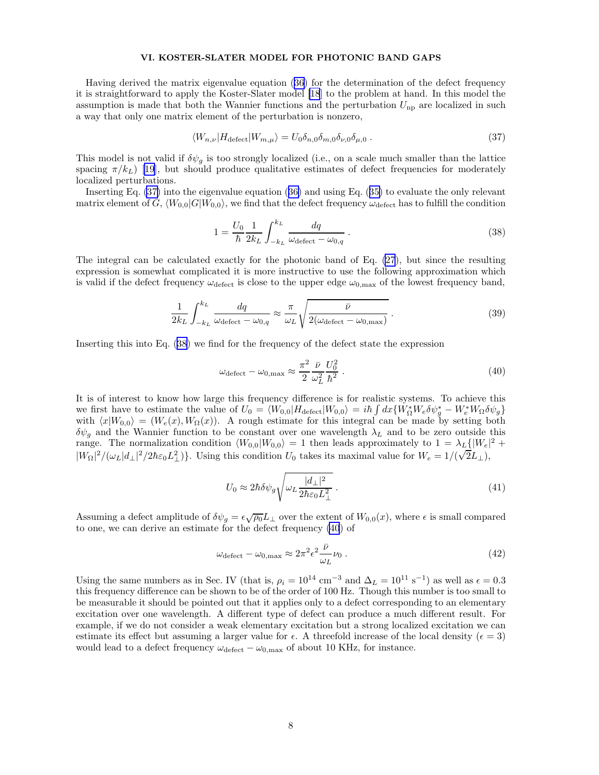## VI. KOSTER-SLATER MODEL FOR PHOTONIC BAND GAPS

Having derived the matrix eigenvalue equation([36\)](#page-6-0) for the determination of the defect frequency it is straightforward to apply the Koster-Slater model [\[18](#page-8-0)] to the problem at hand. In this model the assumption is made that both the Wannier functions and the perturbation  $U_{np}$  are localized in such a way that only one matrix element of the perturbation is nonzero,

$$
\langle W_{n,\nu} | H_{\text{defect}} | W_{m,\mu} \rangle = U_0 \delta_{n,0} \delta_{m,0} \delta_{\nu,0} \delta_{\mu,0} . \tag{37}
$$

This model is not valid if  $\delta \psi_q$  is too strongly localized (i.e., on a scale much smaller than the lattice spacing $\pi/k_L$ ) [[19](#page-8-0)], but should produce qualitative estimates of defect frequencies for moderately localized perturbations.

Inserting Eq. (37) into the eigenvalue equation([36\)](#page-6-0) and using Eq.([35\)](#page-6-0) to evaluate the only relevant matrix element of G,  $\langle W_{0,0}|G|W_{0,0}\rangle$ , we find that the defect frequency  $\omega_{\text{defect}}$  has to fulfill the condition

$$
1 = \frac{U_0}{\hbar} \frac{1}{2k_L} \int_{-k_L}^{k_L} \frac{dq}{\omega_{\text{defect}} - \omega_{0,q}} \,. \tag{38}
$$

The integral can be calculated exactly for the photonic band of Eq. [\(27](#page-5-0)), but since the resulting expression is somewhat complicated it is more instructive to use the following approximation which is valid if the defect frequency  $\omega_{\text{defect}}$  is close to the upper edge  $\omega_{0,\text{max}}$  of the lowest frequency band,

$$
\frac{1}{2k_L} \int_{-k_L}^{k_L} \frac{dq}{\omega_{\text{defect}} - \omega_{0,q}} \approx \frac{\pi}{\omega_L} \sqrt{\frac{\bar{\nu}}{2(\omega_{\text{defect}} - \omega_{0,\text{max}})}}.
$$
\n(39)

Inserting this into Eq. (38) we find for the frequency of the defect state the expression

$$
\omega_{\text{defect}} - \omega_{0,\text{max}} \approx \frac{\pi^2}{2} \frac{\bar{\nu}}{\omega_L^2} \frac{U_0^2}{\hbar^2} \,. \tag{40}
$$

It is of interest to know how large this frequency difference is for realistic systems. To achieve this we first have to estimate the value of  $U_0 = \langle W_{0,0} | H_{\text{defect}} | W_{0,0} \rangle = i\hbar \int dx \{W_{\Omega}^* W_e \delta \psi_g^* - W_e^* W_{\Omega} \delta \psi_g\}$ with  $\langle x|W_{0,0}\rangle = (W_e(x), W_{\Omega}(x))$ . A rough estimate for this integral can be made by setting both  $\delta\psi_g$  and the Wannier function to be constant over one wavelength  $\lambda_L$  and to be zero outside this range. The normalization condition  $\langle W_{0,0}|W_{0,0}\rangle = 1$  then leads approximately to  $1 = \lambda_L \frac{1}{2} |W_e|^2 +$  $|W_{\Omega}|^2/(\omega_L|d_{\perp}|^2/2\hbar\varepsilon_0L_{\perp}^2)\}$ . Using this condition  $U_0$  takes its maximal value for  $W_e = 1/(\sqrt{2}L_{\perp}),$ 

$$
U_0 \approx 2\hbar \delta \psi_g \sqrt{\omega_L \frac{|d_\perp|^2}{2\hbar \varepsilon_0 L_\perp^2}} \,. \tag{41}
$$

Assuming a defect amplitude of  $\delta \psi_g = \epsilon \sqrt{\rho_0} L_\perp$  over the extent of  $W_{0,0}(x)$ , where  $\epsilon$  is small compared to one, we can derive an estimate for the defect frequency (40) of

$$
\omega_{\rm defect} - \omega_{0,\rm max} \approx 2\pi^2 \epsilon^2 \frac{\bar{\nu}}{\omega_L} \nu_0 \,. \tag{42}
$$

Using the same numbers as in Sec. IV (that is,  $\rho_i = 10^{14}$  cm<sup>-3</sup> and  $\Delta_L = 10^{11}$  s<sup>-1</sup>) as well as  $\epsilon = 0.3$ this frequency difference can be shown to be of the order of 100 Hz. Though this number is too small to be measurable it should be pointed out that it applies only to a defect corresponding to an elementary excitation over one wavelength. A different type of defect can produce a much different result. For example, if we do not consider a weak elementary excitation but a strong localized excitation we can estimate its effect but assuming a larger value for  $\epsilon$ . A threefold increase of the local density ( $\epsilon = 3$ ) would lead to a defect frequency  $\omega_{\text{defect}} - \omega_{0,\text{max}}$  of about 10 KHz, for instance.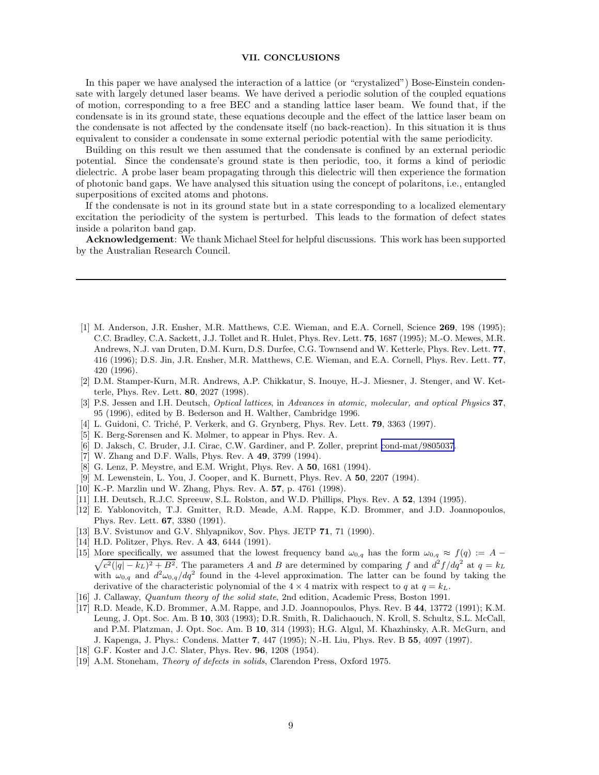#### VII. CONCLUSIONS

<span id="page-8-0"></span>In this paper we have analysed the interaction of a lattice (or "crystalized") Bose-Einstein condensate with largely detuned laser beams. We have derived a periodic solution of the coupled equations of motion, corresponding to a free BEC and a standing lattice laser beam. We found that, if the condensate is in its ground state, these equations decouple and the effect of the lattice laser beam on the condensate is not affected by the condensate itself (no back-reaction). In this situation it is thus equivalent to consider a condensate in some external periodic potential with the same periodicity.

Building on this result we then assumed that the condensate is confined by an external periodic potential. Since the condensate's ground state is then periodic, too, it forms a kind of periodic dielectric. A probe laser beam propagating through this dielectric will then experience the formation of photonic band gaps. We have analysed this situation using the concept of polaritons, i.e., entangled superpositions of excited atoms and photons.

If the condensate is not in its ground state but in a state corresponding to a localized elementary excitation the periodicity of the system is perturbed. This leads to the formation of defect states inside a polariton band gap.

Acknowledgement: We thank Michael Steel for helpful discussions. This work has been supported by the Australian Research Council.

- [1] M. Anderson, J.R. Ensher, M.R. Matthews, C.E. Wieman, and E.A. Cornell, Science 269, 198 (1995); C.C. Bradley, C.A. Sackett, J.J. Tollet and R. Hulet, Phys. Rev. Lett. 75, 1687 (1995); M.-O. Mewes, M.R. Andrews, N.J. van Druten, D.M. Kurn, D.S. Durfee, C.G. Townsend and W. Ketterle, Phys. Rev. Lett. 77, 416 (1996); D.S. Jin, J.R. Ensher, M.R. Matthews, C.E. Wieman, and E.A. Cornell, Phys. Rev. Lett. 77, 420 (1996).
- [2] D.M. Stamper-Kurn, M.R. Andrews, A.P. Chikkatur, S. Inouye, H.-J. Miesner, J. Stenger, and W. Ketterle, Phys. Rev. Lett. 80, 2027 (1998).
- [3] P.S. Jessen and I.H. Deutsch, Optical lattices, in Advances in atomic, molecular, and optical Physics 37, 95 (1996), edited by B. Bederson and H. Walther, Cambridge 1996.
- [4] L. Guidoni, C. Triché, P. Verkerk, and G. Grynberg, Phys. Rev. Lett. **79**, 3363 (1997).
- [5] K. Berg-Sørensen and K. Mølmer, to appear in Phys. Rev. A.
- [6] D. Jaksch, C. Bruder, J.I. Cirac, C.W. Gardiner, and P. Zoller, preprint [cond-mat/9805037](http://arxiv.org/abs/cond-mat/9805037).
- [7] W. Zhang and D.F. Walls, Phys. Rev. A 49, 3799 (1994).
- [8] G. Lenz, P. Meystre, and E.M. Wright, Phys. Rev. A 50, 1681 (1994).
- [9] M. Lewenstein, L. You, J. Cooper, and K. Burnett, Phys. Rev. A 50, 2207 (1994).
- [10] K.-P. Marzlin und W. Zhang, Phys. Rev. A. 57, p. 4761 (1998).
- [11] I.H. Deutsch, R.J.C. Spreeuw, S.L. Rolston, and W.D. Phillips, Phys. Rev. A 52, 1394 (1995).
- [12] E. Yablonovitch, T.J. Gmitter, R.D. Meade, A.M. Rappe, K.D. Brommer, and J.D. Joannopoulos, Phys. Rev. Lett. 67, 3380 (1991).
- [13] B.V. Svistunov and G.V. Shlyapnikov, Sov. Phys. JETP 71, 71 (1990).
- [14] H.D. Politzer, Phys. Rev. A **43**, 6444 (1991).
- [15] More specifically, we assumed that the lowest frequency band  $\omega_{0,q}$  has the form  $\omega_{0,q} \approx f(q) := A \sqrt{c^2(|q|-k_L)^2+B^2}$ . The parameters A and B are determined by comparing f and  $d^2f/dq^2$  at  $q=k_L$ with  $\omega_{0,q}$  and  $d^2\omega_{0,q}/dq^2$  found in the 4-level approximation. The latter can be found by taking the derivative of the characteristic polynomial of the  $4 \times 4$  matrix with respect to q at  $q = k<sub>L</sub>$ .
- [16] J. Callaway, Quantum theory of the solid state, 2nd edition, Academic Press, Boston 1991.
- [17] R.D. Meade, K.D. Brommer, A.M. Rappe, and J.D. Joannopoulos, Phys. Rev. B 44, 13772 (1991); K.M. Leung, J. Opt. Soc. Am. B 10, 303 (1993); D.R. Smith, R. Dalichaouch, N. Kroll, S. Schultz, S.L. McCall, and P.M. Platzman, J. Opt. Soc. Am. B 10, 314 (1993); H.G. Algul, M. Khazhinsky, A.R. McGurn, and J. Kapenga, J. Phys.: Condens. Matter 7, 447 (1995); N.-H. Liu, Phys. Rev. B 55, 4097 (1997).
- [18] G.F. Koster and J.C. Slater, Phys. Rev. 96, 1208 (1954).
- [19] A.M. Stoneham, *Theory of defects in solids*, Clarendon Press, Oxford 1975.